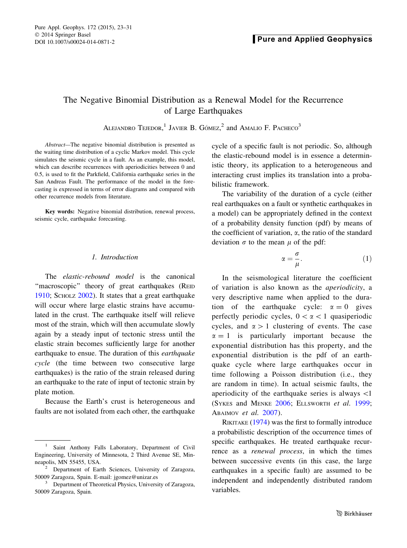# <span id="page-0-0"></span>The Negative Binomial Distribution as a Renewal Model for the Recurrence of Large Earthquakes

ALEJANDRO TEJEDOR,  $1$  JAVIER B. GÓMEZ, and AMALIO F. PACHECO<sup>3</sup>

Abstract—The negative binomial distribution is presented as the waiting time distribution of a cyclic Markov model. This cycle simulates the seismic cycle in a fault. As an example, this model, which can describe recurrences with aperiodicities between 0 and 0.5, is used to fit the Parkfield, California earthquake series in the San Andreas Fault. The performance of the model in the forecasting is expressed in terms of error diagrams and compared with other recurrence models from literature.

Key words: Negative binomial distribution, renewal process, seismic cycle, earthquake forecasting.

### 1. Introduction

The *elastic-rebound* model is the canonical "macroscopic" theory of great earthquakes (REID [1910;](#page-8-0) SCHOLZ [2002\)](#page-8-0). It states that a great earthquake will occur where large elastic strains have accumulated in the crust. The earthquake itself will relieve most of the strain, which will then accumulate slowly again by a steady input of tectonic stress until the elastic strain becomes sufficiently large for another earthquake to ensue. The duration of this earthquake cycle (the time between two consecutive large earthquakes) is the ratio of the strain released during an earthquake to the rate of input of tectonic strain by plate motion.

Because the Earth's crust is heterogeneous and faults are not isolated from each other, the earthquake cycle of a specific fault is not periodic. So, although the elastic-rebound model is in essence a deterministic theory, its application to a heterogeneous and interacting crust implies its translation into a probabilistic framework.

The variability of the duration of a cycle (either real earthquakes on a fault or synthetic earthquakes in a model) can be appropriately defined in the context of a probability density function (pdf) by means of the coefficient of variation,  $\alpha$ , the ratio of the standard deviation  $\sigma$  to the mean  $\mu$  of the pdf:

$$
\alpha = \frac{\sigma}{\mu}.\tag{1}
$$

In the seismological literature the coefficient of variation is also known as the aperiodicity, a very descriptive name when applied to the duration of the earthquake cycle:  $\alpha = 0$  gives perfectly periodic cycles,  $0 < \alpha < 1$  quasiperiodic cycles, and  $\alpha > 1$  clustering of events. The case  $\alpha = 1$  is particularly important because the exponential distribution has this property, and the exponential distribution is the pdf of an earthquake cycle where large earthquakes occur in time following a Poisson distribution (i.e., they are random in time). In actual seismic faults, the aperiodicity of the earthquake series is always \1 (SYKES and MENKE [2006;](#page-8-0) ELLSWORTH et al. [1999](#page-7-0); ABAIMOV et al. [2007\)](#page-7-0).

RIKITAKE [\(1974](#page-8-0)) was the first to formally introduce a probabilistic description of the occurrence times of specific earthquakes. He treated earthquake recurrence as a renewal process, in which the times between successive events (in this case, the large earthquakes in a specific fault) are assumed to be independent and independently distributed random variables.

<sup>&</sup>lt;sup>1</sup> Saint Anthony Falls Laboratory, Department of Civil Engineering, University of Minnesota, 2 Third Avenue SE, Min-

 $2$  Department of Earth Sciences, University of Zaragoza, 50009 Zaragoza, Spain. E-mail: jgomez@unizar.es<br><sup>3</sup> Department of Theoretical Physics, University of Zaragoza,

<sup>50009</sup> Zaragoza, Spain.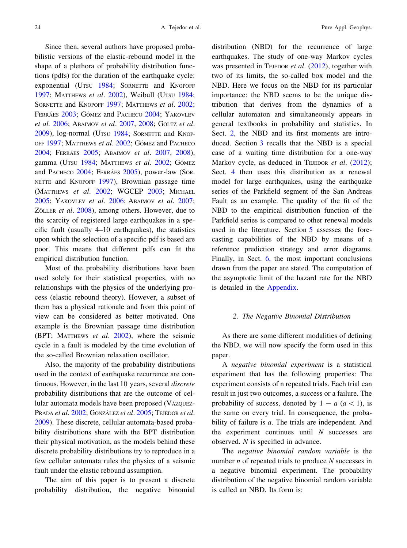<span id="page-1-0"></span>Since then, several authors have proposed probabilistic versions of the elastic-rebound model in the shape of a plethora of probability distribution functions (pdfs) for the duration of the earthquake cycle: exponential (UTSU [1984;](#page-8-0) SORNETTE and KNOPOFF [1997;](#page-8-0) MATTHEWS et al. [2002](#page-8-0)), Weibull (UTSU [1984](#page-8-0); SORNETTE and KNOPOFF [1997;](#page-8-0) MATTHEWS et al. [2002](#page-8-0); FERRÁES [2003;](#page-7-0) GÓMEZ and PACHECO [2004](#page-8-0); YAKOVLEV et al. [2006](#page-8-0); ABAIMOV et al. [2007,](#page-7-0) [2008](#page-7-0); GOLTZ et al. [2009\)](#page-8-0), log-normal (UTSU [1984](#page-8-0); SORNETTE and KNOP-OFF [1997](#page-8-0); MATTHEWS et al. [2002;](#page-8-0) GÓMEZ and PACHECO [2004;](#page-8-0) FERRÁES [2005](#page-7-0); ABAIMOV et al. [2007,](#page-7-0) [2008](#page-7-0)), gamma (UTSU [1984](#page-8-0); MATTHEWS et al. [2002](#page-8-0); GÓMEZ and PACHECO [2004;](#page-8-0) FERRÁES [2005](#page-7-0)), power-law (SOR-NETTE and KNOPOFF [1997\)](#page-8-0), Brownian passage time (MATTHEWS et al. [2002;](#page-8-0) WGCEP [2003;](#page-8-0) MICHAEL [2005;](#page-8-0) YAKOVLEV et al. [2006](#page-8-0); ABAIMOV et al. [2007](#page-7-0); ZÖLLER et al. [2008](#page-8-0)), among others. However, due to the scarcity of registered large earthquakes in a specific fault (usually 4–10 earthquakes), the statistics upon which the selection of a specific pdf is based are poor. This means that different pdfs can fit the empirical distribution function.

Most of the probability distributions have been used solely for their statistical properties, with no relationships with the physics of the underlying process (elastic rebound theory). However, a subset of them has a physical rationale and from this point of view can be considered as better motivated. One example is the Brownian passage time distribution (BPT; MATTHEWS et al. [2002](#page-8-0)), where the seismic cycle in a fault is modeled by the time evolution of the so-called Brownian relaxation oscillator.

Also, the majority of the probability distributions used in the context of earthquake recurrence are continuous. However, in the last 10 years, several *discrete* probability distributions that are the outcome of cellular automata models have been proposed (VÁZQUEZ-PRADA et al. [2002;](#page-8-0) GONZÁLEZ et al. [2005;](#page-8-0) TEJEDOR et al. [2009\)](#page-8-0). These discrete, cellular automata-based probability distributions share with the BPT distribution their physical motivation, as the models behind these discrete probability distributions try to reproduce in a few cellular automata rules the physics of a seismic fault under the elastic rebound assumption.

The aim of this paper is to present a discrete probability distribution, the negative binomial distribution (NBD) for the recurrence of large earthquakes. The study of one-way Markov cycles was presented in TEJEDOR *et al.*  $(2012)$  $(2012)$ , together with two of its limits, the so-called box model and the NBD. Here we focus on the NBD for its particular importance: the NBD seems to be the unique distribution that derives from the dynamics of a cellular automaton and simultaneously appears in general textbooks in probability and statistics. In Sect. 2, the NBD and its first moments are introduced. Section [3](#page-2-0) recalls that the NBD is a special case of a waiting time distribution for a one-way Markov cycle, as deduced in TEJEDOR et al. [\(2012](#page-8-0)); Sect. [4](#page-3-0) then uses this distribution as a renewal model for large earthquakes, using the earthquake series of the Parkfield segment of the San Andreas Fault as an example. The quality of the fit of the NBD to the empirical distribution function of the Parkfield series is compared to other renewal models used in the literature. Section [5](#page-5-0) assesses the forecasting capabilities of the NBD by means of a reference prediction strategy and error diagrams. Finally, in Sect. [6,](#page-7-0) the most important conclusions drawn from the paper are stated. The computation of the asymptotic limit of the hazard rate for the NBD is detailed in the [Appendix.](#page-7-0)

### 2. The Negative Binomial Distribution

As there are some different modalities of defining the NBD, we will now specify the form used in this paper.

A negative binomial experiment is a statistical experiment that has the following properties: The experiment consists of n repeated trials. Each trial can result in just two outcomes, a success or a failure. The probability of success, denoted by  $1 - a$  ( $a \lt 1$ ), is the same on every trial. In consequence, the probability of failure is a. The trials are independent. And the experiment continues until  $N$  successes are observed. N is specified in advance.

The negative binomial random variable is the number  $n$  of repeated trials to produce  $N$  successes in a negative binomial experiment. The probability distribution of the negative binomial random variable is called an NBD. Its form is: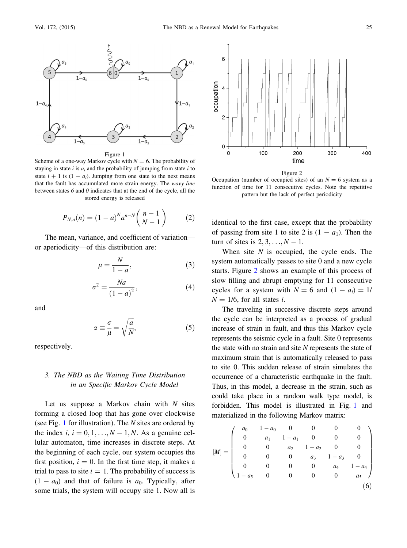<span id="page-2-0"></span>

Figure 1

Scheme of a one-way Markov cycle with  $N = 6$ . The probability of staying in state i is  $a_i$  and the probability of jumping from state i to state  $i + 1$  is  $(1 - a_i)$ . Jumping from one state to the next means that the fault has accumulated more strain energy. The wavy line between states 6 and 0 indicates that at the end of the cycle, all the stored energy is released

$$
P_{N,a}(n) = (1-a)^{N} a^{n-N} {n-1 \choose N-1}
$$
 (2)

The mean, variance, and coefficient of variation or aperiodicity—of this distribution are:

$$
\mu = \frac{N}{1 - a},\tag{3}
$$

$$
\sigma^2 = \frac{Na}{\left(1 - a\right)^2},\tag{4}
$$

and

$$
\alpha \equiv \frac{\sigma}{\mu} = \sqrt{\frac{a}{N}},\tag{5}
$$

respectively.

# 3. The NBD as the Waiting Time Distribution in an Specific Markov Cycle Model

Let us suppose a Markov chain with  $N$  sites forming a closed loop that has gone over clockwise (see Fig. 1 for illustration). The N sites are ordered by the index  $i, i = 0, 1, \ldots, N - 1, N$ . As a genuine cellular automaton, time increases in discrete steps. At the beginning of each cycle, our system occupies the first position,  $i = 0$ . In the first time step, it makes a trial to pass to site  $i = 1$ . The probability of success is  $(1 - a_0)$  and that of failure is  $a_0$ . Typically, after some trials, the system will occupy site 1. Now all is



Occupation (number of occupied sites) of an  $N = 6$  system as a function of time for 11 consecutive cycles. Note the repetitive pattern but the lack of perfect periodicity

identical to the first case, except that the probability of passing from site 1 to site 2 is  $(1 - a_1)$ . Then the turn of sites is  $2, 3, \ldots, N - 1$ .

When site  $N$  is occupied, the cycle ends. The system automatically passes to site 0 and a new cycle starts. Figure 2 shows an example of this process of slow filling and abrupt emptying for 11 consecutive cycles for a system with  $N = 6$  and  $(1 - a_i) = 1/$  $N = 1/6$ , for all states *i*.

The traveling in successive discrete steps around the cycle can be interpreted as a process of gradual increase of strain in fault, and thus this Markov cycle represents the seismic cycle in a fault. Site 0 represents the state with no strain and site  $N$  represents the state of maximum strain that is automatically released to pass to site 0. This sudden release of strain simulates the occurrence of a characteristic earthquake in the fault. Thus, in this model, a decrease in the strain, such as could take place in a random walk type model, is forbidden. This model is illustrated in Fig. 1 and materialized in the following Markov matrix:

$$
[M] = \begin{pmatrix} a_0 & 1 - a_0 & 0 & 0 & 0 & 0 \\ 0 & a_1 & 1 - a_1 & 0 & 0 & 0 \\ 0 & 0 & a_2 & 1 - a_2 & 0 & 0 \\ 0 & 0 & 0 & a_3 & 1 - a_3 & 0 \\ 0 & 0 & 0 & 0 & a_4 & 1 - a_4 \\ 1 - a_5 & 0 & 0 & 0 & 0 & a_5 \end{pmatrix}
$$
(6)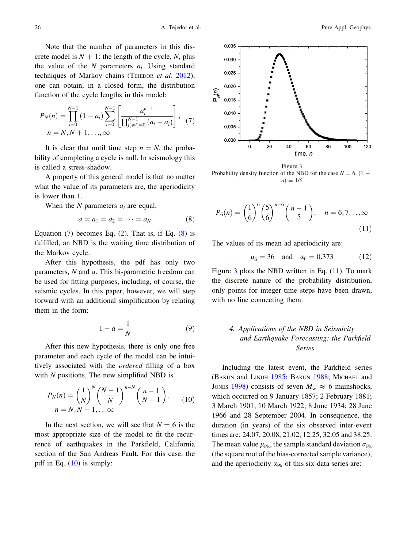<span id="page-3-0"></span>Note that the number of parameters in this discrete model is  $N + 1$ : the length of the cycle, N, plus the value of the  $N$  parameters  $a_i$ . Using standard techniques of Markov chains (TEJEDOR et al. [2012](#page-8-0)), one can obtain, in a closed form, the distribution function of the cycle lengths in this model:

$$
P_N(n) = \prod_{i=0}^{N-1} (1 - a_i) \sum_{i=0}^{N-1} \left[ \frac{a_i^{n-1}}{\prod_{j \neq i}^{N-1} (a_i - a_j)} \right], \quad (7)
$$
  

$$
n = N, N + 1, ..., \infty
$$

It is clear that until time step  $n = N$ , the probability of completing a cycle is null. In seismology this is called a stress-shadow.

A property of this general model is that no matter what the value of its parameters are, the aperiodicity is lower than 1.

When the  $N$  parameters  $a_i$  are equal,

$$
a = a_1 = a_2 = \cdots = a_N \tag{8}
$$

Equation  $(7)$  becomes Eq.  $(2)$  $(2)$ . That is, if Eq.  $(8)$  is fulfilled, an NBD is the waiting time distribution of the Markov cycle.

After this hypothesis, the pdf has only two parameters, N and a. This bi-parametric freedom can be used for fitting purposes, including, of course, the seismic cycles. In this paper, however, we will step forward with an additional simplification by relating them in the form:

$$
1 - a = \frac{1}{N} \tag{9}
$$

After this new hypothesis, there is only one free parameter and each cycle of the model can be intuitively associated with the ordered filling of a box with  $N$  positions. The new simplified NBD is

$$
P_N(n) = \left(\frac{1}{N}\right)^N \left(\frac{N-1}{N}\right)^{n-N} \left(\frac{n-1}{N-1}\right),
$$
  
\n
$$
n = N, N+1, \ldots \infty
$$
\n(10)

In the next section, we will see that  $N = 6$  is the most appropriate size of the model to fit the recurrence of earthquakes in the Parkfield, California section of the San Andreas Fault. For this case, the pdf in Eq. (10) is simply:



Figure 3 Probability density function of the NBD for the case  $N = 6$ , (1 –  $a) = 1/6$ 

$$
P_6(n) = \left(\frac{1}{6}\right)^6 \left(\frac{5}{6}\right)^{n-6} {n-1 \choose 5}, \quad n = 6, 7, \dots \infty
$$
\n(11)

The values of its mean ad aperiodicity are:

$$
\mu_6 = 36
$$
 and  $\alpha_6 = 0.373$  (12)

Figure  $3$  plots the NBD written in Eq. (11). To mark the discrete nature of the probability distribution, only points for integer time steps have been drawn, with no line connecting them.

# 4. Applications of the NBD in Seismicity and Earthquake Forecasting: the Parkfield Series

Including the latest event, the Parkfield series (BAKUN and LINDH [1985](#page-7-0); BAKUN [1988](#page-7-0); MICHAEL and JONES [1998\)](#page-8-0) consists of seven  $M_w \approx 6$  mainshocks, which occurred on 9 January 1857; 2 February 1881; 3 March 1901; 10 March 1922; 8 June 1934; 28 June 1966 and 28 September 2004. In consequence, the duration (in years) of the six observed inter-event times are: 24.07, 20.08, 21.02, 12.25, 32.05 and 38.25. The mean value  $\mu_{\text{Pk}}$ , the sample standard deviation  $\sigma_{\text{Pk}}$ (the square root of the bias-corrected sample variance), and the aperiodicity  $\alpha_{\text{Pk}}$  of this six-data series are: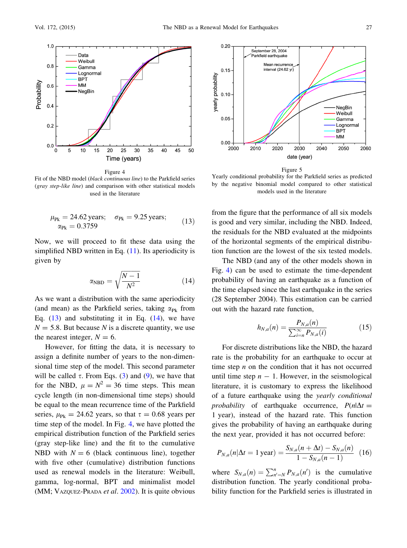<span id="page-4-0"></span>

Figure 4

Fit of the NBD model (black continuous line) to the Parkfield series (gray step-like line) and comparison with other statistical models used in the literature

$$
\mu_{\text{Pk}} = 24.62 \text{ years}; \quad \sigma_{\text{Pk}} = 9.25 \text{ years};
$$
  
\n
$$
\alpha_{\text{Pk}} = 0.3759 \tag{13}
$$

Now, we will proceed to fit these data using the simplified NBD written in Eq. ([11\)](#page-3-0). Its aperiodicity is given by

$$
\alpha_{\rm NBD} = \sqrt{\frac{N-1}{N^2}}\tag{14}
$$

As we want a distribution with the same aperiodicity (and mean) as the Parkfield series, taking  $\alpha_{\text{Pk}}$  from Eq.  $(13)$  $(13)$  and substituting it in Eq.  $(14)$ , we have  $N = 5.8$ . But because N is a discrete quantity, we use the nearest integer,  $N = 6$ .

However, for fitting the data, it is necessary to assign a definite number of years to the non-dimensional time step of the model. This second parameter will be called  $\tau$ . From Eqs. ([3\)](#page-2-0) and [\(9](#page-3-0)), we have that for the NBD,  $\mu = N^2 = 36$  time steps. This mean cycle length (in non-dimensional time steps) should be equal to the mean recurrence time of the Parkfield series,  $\mu_{\text{Pk}} = 24.62$  years, so that  $\tau = 0.68$  years per time step of the model. In Fig. 4, we have plotted the empirical distribution function of the Parkfield series (gray step-like line) and the fit to the cumulative NBD with  $N = 6$  (black continuous line), together with five other (cumulative) distribution functions used as renewal models in the literature: Weibull, gamma, log-normal, BPT and minimalist model (MM; VAZQUEZ-PRADA *et al.* [2002\)](#page-8-0). It is quite obvious



Yearly conditional probability for the Parkfield series as predicted by the negative binomial model compared to other statistical models used in the literature

from the figure that the performance of all six models is good and very similar, including the NBD. Indeed, the residuals for the NBD evaluated at the midpoints of the horizontal segments of the empirical distribution function are the lowest of the six tested models.

The NBD (and any of the other models shown in Fig. 4) can be used to estimate the time-dependent probability of having an earthquake as a function of the time elapsed since the last earthquake in the series (28 September 2004). This estimation can be carried out with the hazard rate function,

$$
h_{N,a}(n) = \frac{P_{N,a}(n)}{\sum_{i=n}^{\infty} P_{N,a}(i)}\tag{15}
$$

For discrete distributions like the NBD, the hazard rate is the probability for an earthquake to occur at time step  $n$  on the condition that it has not occurred until time step  $n - 1$ . However, in the seismological literature, it is customary to express the likelihood of a future earthquake using the yearly conditional probability of earthquake occurrence,  $P(n|\Delta t =$ 1 year), instead of the hazard rate. This function gives the probability of having an earthquake during the next year, provided it has not occurred before:

$$
P_{N,a}(n|\Delta t = 1 \text{ year}) = \frac{S_{N,a}(n + \Delta t) - S_{N,a}(n)}{1 - S_{N,a}(n - 1)} \tag{16}
$$

where  $S_{N,a}(n) = \sum_{n'=N}^{n} P_{N,a}(n')$  is the cumulative distribution function. The yearly conditional probability function for the Parkfield series is illustrated in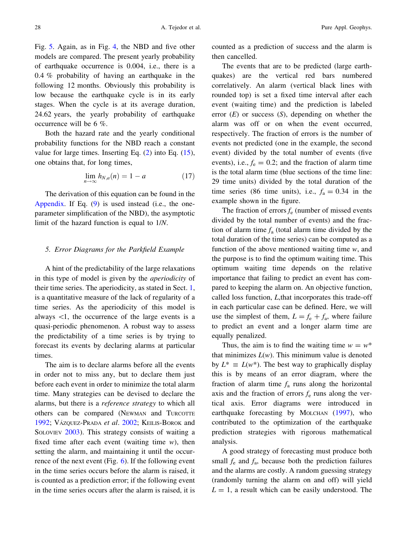<span id="page-5-0"></span>Fig. [5.](#page-4-0) Again, as in Fig. [4](#page-4-0), the NBD and five other models are compared. The present yearly probability of earthquake occurrence is 0.004, i.e., there is a 0.4 % probability of having an earthquake in the following 12 months. Obviously this probability is low because the earthquake cycle is in its early stages. When the cycle is at its average duration, 24.62 years, the yearly probability of earthquake occurrence will be 6 %.

Both the hazard rate and the yearly conditional probability functions for the NBD reach a constant value for large times. Inserting Eq.  $(2)$  into Eq.  $(15)$  $(15)$ , one obtains that, for long times,

$$
\lim_{n \to \infty} h_{N,a}(n) = 1 - a \tag{17}
$$

The derivation of this equation can be found in the [Appendix](#page-7-0). If Eq. ([9\)](#page-3-0) is used instead (i.e., the oneparameter simplification of the NBD), the asymptotic limit of the hazard function is equal to 1/N.

#### 5. Error Diagrams for the Parkfield Example

A hint of the predictability of the large relaxations in this type of model is given by the aperiodicity of their time series. The aperiodicity, as stated in Sect. [1,](#page-0-0) is a quantitative measure of the lack of regularity of a time series. As the aperiodicity of this model is always  $\lt 1$ , the occurrence of the large events is a quasi-periodic phenomenon. A robust way to assess the predictability of a time series is by trying to forecast its events by declaring alarms at particular times.

The aim is to declare alarms before all the events in order not to miss any, but to declare them just before each event in order to minimize the total alarm time. Many strategies can be devised to declare the alarms, but there is a reference strategy to which all others can be compared (NEWMAN and TURCOTTE [1992;](#page-8-0) VÁZQUEZ-PRADA et al. [2002](#page-8-0); KEILIS-BOROK and SOLOVIEV [2003](#page-8-0)). This strategy consists of waiting a fixed time after each event (waiting time  $w$ ), then setting the alarm, and maintaining it until the occurrence of the next event (Fig.  $6$ ). If the following event in the time series occurs before the alarm is raised, it is counted as a prediction error; if the following event in the time series occurs after the alarm is raised, it is counted as a prediction of success and the alarm is then cancelled.

The events that are to be predicted (large earthquakes) are the vertical red bars numbered correlatively. An alarm (vertical black lines with rounded top) is set a fixed time interval after each event (waiting time) and the prediction is labeled error  $(E)$  or success  $(S)$ , depending on whether the alarm was off or on when the event occurred, respectively. The fraction of errors is the number of events not predicted (one in the example, the second event) divided by the total number of events (five events), i.e.,  $f_e = 0.2$ ; and the fraction of alarm time is the total alarm time (blue sections of the time line: 29 time units) divided by the total duration of the time series (86 time units), i.e.,  $f_a = 0.34$  in the example shown in the figure.

The fraction of errors  $f_e$  (number of missed events divided by the total number of events) and the fraction of alarm time  $f_a$  (total alarm time divided by the total duration of the time series) can be computed as a function of the above mentioned waiting time  $w$ , and the purpose is to find the optimum waiting time. This optimum waiting time depends on the relative importance that failing to predict an event has compared to keeping the alarm on. An objective function, called loss function, L,that incorporates this trade-off in each particular case can be defined. Here, we will use the simplest of them,  $L = f_e + f_a$ , where failure to predict an event and a longer alarm time are equally penalized.

Thus, the aim is to find the waiting time  $w = w^*$ that minimizes  $L(w)$ . This minimum value is denoted by  $L^* \equiv L(w^*)$ . The best way to graphically display this is by means of an error diagram, where the fraction of alarm time  $f_a$  runs along the horizontal axis and the fraction of errors  $f_e$  runs along the vertical axis. Error diagrams were introduced in earthquake forecasting by MOLCHAN ([1997\)](#page-8-0), who contributed to the optimization of the earthquake prediction strategies with rigorous mathematical analysis.

A good strategy of forecasting must produce both small  $f_e$  and  $f_a$ , because both the prediction failures and the alarms are costly. A random guessing strategy (randomly turning the alarm on and off) will yield  $L = 1$ , a result which can be easily understood. The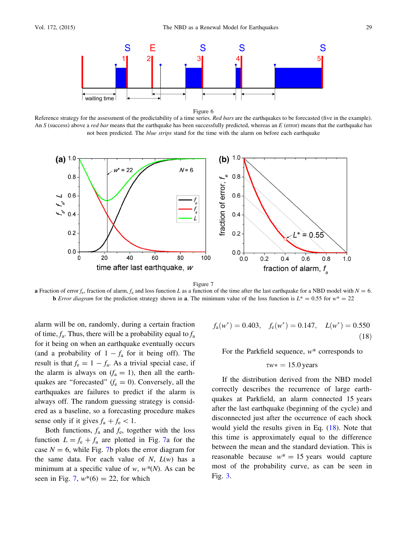<span id="page-6-0"></span>

Figure 6

Reference strategy for the assessment of the predictability of a time series. Red bars are the earthquakes to be forecasted (five in the example). An  $S$  (success) above a *red bar* means that the earthquake has been successfully predicted, whereas an  $E$  (error) means that the earthquake has not been predicted. The blue strips stand for the time with the alarm on before each earthquake



Figure 7

a Fraction of error  $f_c$ , fraction of alarm,  $f_a$  and loss function L as a function of the time after the last earthquake for a NBD model with  $N = 6$ . **b** Error diagram for the prediction strategy shown in **a**. The minimum value of the loss function is  $L^* = 0.55$  for  $w^* = 22$ 

alarm will be on, randomly, during a certain fraction of time,  $f_a$ . Thus, there will be a probability equal to  $f_a$ for it being on when an earthquake eventually occurs (and a probability of  $1 - f_a$  for it being off). The result is that  $f_e = 1 - f_a$ . As a trivial special case, if the alarm is always on  $(f_a = 1)$ , then all the earthquakes are "forecasted" ( $f_e = 0$ ). Conversely, all the earthquakes are failures to predict if the alarm is always off. The random guessing strategy is considered as a baseline, so a forecasting procedure makes sense only if it gives  $f_a + f_e < 1$ .

Both functions,  $f_a$  and  $f_e$ , together with the loss function  $L = f_e + f_a$  are plotted in Fig. 7a for the case  $N = 6$ , while Fig. 7b plots the error diagram for the same data. For each value of  $N$ ,  $L(w)$  has a minimum at a specific value of w,  $w^*(N)$ . As can be seen in Fig. 7,  $w^*(6) = 22$ , for which

$$
f_{\rm a}(w^*) = 0.403, \quad f_{\rm e}(w^*) = 0.147, \quad L(w^*) = 0.550
$$
\n(18)

For the Parkfield sequence,  $w^*$  corresponds to

$$
\tau w* = 15.0 \,\text{years}
$$

If the distribution derived from the NBD model correctly describes the recurrence of large earthquakes at Parkfield, an alarm connected 15 years after the last earthquake (beginning of the cycle) and disconnected just after the occurrence of each shock would yield the results given in Eq. (18). Note that this time is approximately equal to the difference between the mean and the standard deviation. This is reasonable because  $w^* = 15$  years would capture most of the probability curve, as can be seen in Fig. [3.](#page-3-0)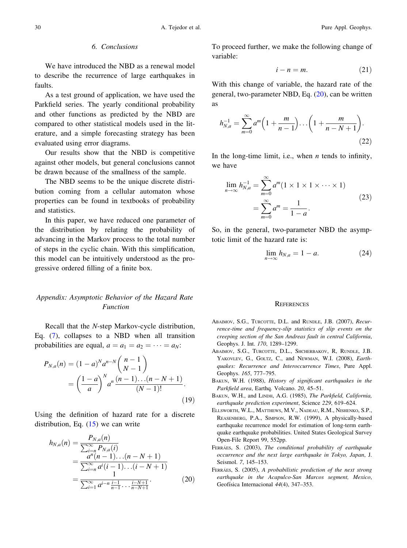### 6. Conclusions

<span id="page-7-0"></span>We have introduced the NBD as a renewal model to describe the recurrence of large earthquakes in faults.

As a test ground of application, we have used the Parkfield series. The yearly conditional probability and other functions as predicted by the NBD are compared to other statistical models used in the literature, and a simple forecasting strategy has been evaluated using error diagrams.

Our results show that the NBD is competitive against other models, but general conclusions cannot be drawn because of the smallness of the sample.

The NBD seems to be the unique discrete distribution coming from a cellular automaton whose properties can be found in textbooks of probability and statistics.

In this paper, we have reduced one parameter of the distribution by relating the probability of advancing in the Markov process to the total number of steps in the cyclic chain. With this simplification, this model can be intuitively understood as the progressive ordered filling of a finite box.

## Appendix: Asymptotic Behavior of the Hazard Rate Function

Recall that the N-step Markov-cycle distribution, Eq. ([7\)](#page-3-0), collapses to a NBD when all transition probabilities are equal,  $a = a_1 = a_2 = \cdots = a_N$ :

$$
P_{N,a}(n) = (1-a)^{N} a^{n-N} {n-1 \choose N-1}
$$
  
= 
$$
\left(\frac{1-a}{a}\right)^{N} a^{n} \frac{(n-1)...(n-N+1)}{(N-1)!}.
$$
 (19)

Using the definition of hazard rate for a discrete distribution, Eq.  $(15)$  $(15)$  we can write

$$
h_{N,a}(n) = \frac{P_{N,a}(n)}{\sum_{i=n}^{\infty} P_{N,a}(i)}
$$
  
= 
$$
\frac{a^n (n-1)...(n-N+1)}{\sum_{i=n}^{\infty} a^i (i-1)...(i-N+1)}
$$
  
= 
$$
\frac{1}{\sum_{i=1}^{\infty} a^{i-n} \frac{i-1}{n-1} ... \frac{i-N+1}{n-N+1}}.
$$
 (20)

To proceed further, we make the following change of variable:

$$
i - n = m.\t(21)
$$

With this change of variable, the hazard rate of the general, two-parameter NBD, Eq. (20), can be written as

$$
h_{N,a}^{-1} = \sum_{m=0}^{\infty} a^m \left( 1 + \frac{m}{n-1} \right) \dots \left( 1 + \frac{m}{n-N+1} \right).
$$
\n(22)

In the long-time limit, i.e., when  $n$  tends to infinity, we have

$$
\lim_{n \to \infty} h_{N,a}^{-1} = \sum_{m=0}^{\infty} a^m (1 \times 1 \times 1 \times \dots \times 1)
$$
  
= 
$$
\sum_{m=0}^{\infty} a^m = \frac{1}{1 - a}.
$$
 (23)

So, in the general, two-parameter NBD the asymptotic limit of the hazard rate is:

$$
\lim_{n \to \infty} h_{N,a} = 1 - a. \tag{24}
$$

#### **REFERENCES**

- ABAIMOV, S.G., TURCOTTE, D.L. and RUNDLE, J.B. (2007), Recurrence-time and frequency-slip statistics of slip events on the creeping section of the San Andreas fault in central California, Geophys. J. Int. 170, 1289–1299.
- ABAIMOV, S.G., TURCOTTE, D.L., SHCHERBAKOV, R, RUNDLE, J.B. YAKOVLEV, G., GOLTZ, C., and NEWMAN, W.I. (2008), Earthquakes: Recurrence and Interoccurrence Times, Pure Appl. Geophys. 165, 777–795.
- BAKUN, W.H. (1988), History of significant earthquakes in the Parkfield area, Earthq. Volcano. 20, 45–51.
- BAKUN, W.H., and LINDH, A.G. (1985), The Parkfield, California, earthquake prediction experiment, Science 229, 619–624.
- ELLSWORTH, W.L., MATTHEWS, M.V., NADEAU, R.M., NISHENKO, S.P., REASENBERG, P.A., SIMPSON, R.W. (1999), A physically-based earthquake recurrence model for estimation of long-term earthquake earthquake probabilities. United States Geological Survey Open-File Report 99, 552pp.
- FERRÁES, S. (2003), The conditional probability of earthquake occurrence and the next large earthquake in Tokyo, Japan, J. Seismol. 7, 145–153.
- FERRÁES, S. (2005), A probabilistic prediction of the next strong earthquake in the Acapulco-San Marcos segment, Mexico, Geofísica Internacional 44(4), 347-353.